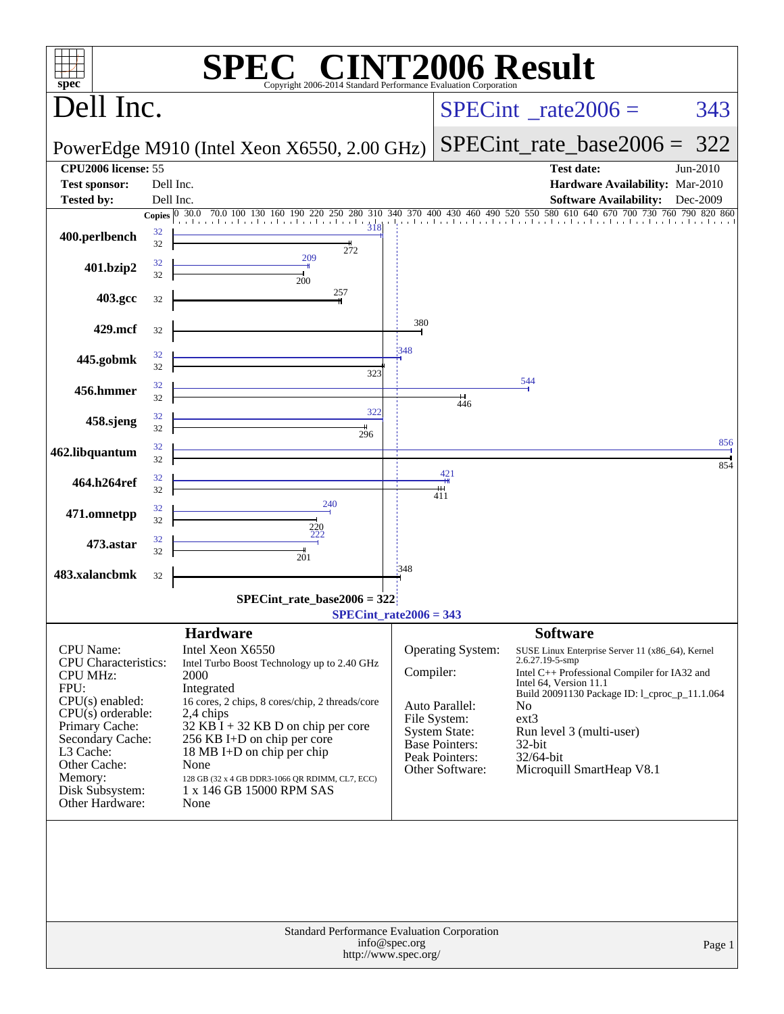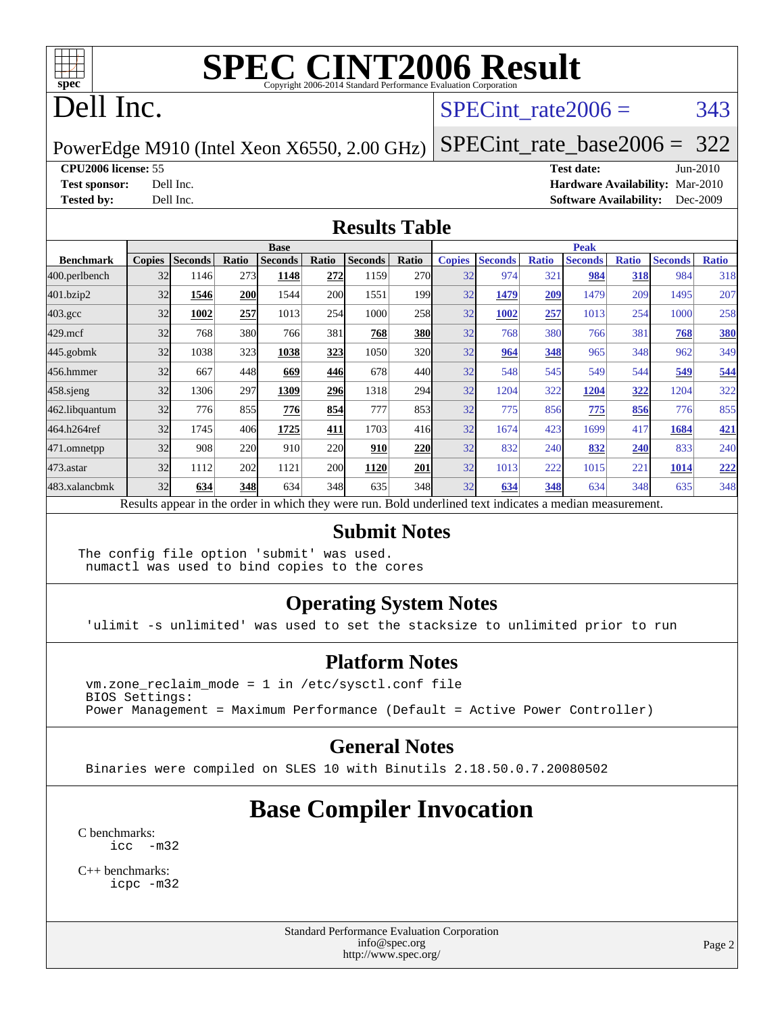

## Dell Inc.

#### SPECint rate $2006 = 343$

PowerEdge M910 (Intel Xeon X6550, 2.00 GHz)

[SPECint\\_rate\\_base2006 =](http://www.spec.org/auto/cpu2006/Docs/result-fields.html#SPECintratebase2006) 322

#### **[CPU2006 license:](http://www.spec.org/auto/cpu2006/Docs/result-fields.html#CPU2006license)** 55 **[Test date:](http://www.spec.org/auto/cpu2006/Docs/result-fields.html#Testdate)** Jun-2010

**[Test sponsor:](http://www.spec.org/auto/cpu2006/Docs/result-fields.html#Testsponsor)** Dell Inc. **[Hardware Availability:](http://www.spec.org/auto/cpu2006/Docs/result-fields.html#HardwareAvailability)** Mar-2010 **[Tested by:](http://www.spec.org/auto/cpu2006/Docs/result-fields.html#Testedby)** Dell Inc. **[Software Availability:](http://www.spec.org/auto/cpu2006/Docs/result-fields.html#SoftwareAvailability)** Dec-2009

#### **[Results Table](http://www.spec.org/auto/cpu2006/Docs/result-fields.html#ResultsTable)**

|                  | <b>Base</b>   |                |       |                                                                                                          |            |                |       | <b>Peak</b>   |                |              |                |              |                |              |
|------------------|---------------|----------------|-------|----------------------------------------------------------------------------------------------------------|------------|----------------|-------|---------------|----------------|--------------|----------------|--------------|----------------|--------------|
| <b>Benchmark</b> | <b>Copies</b> | <b>Seconds</b> | Ratio | <b>Seconds</b>                                                                                           | Ratio      | <b>Seconds</b> | Ratio | <b>Copies</b> | <b>Seconds</b> | <b>Ratio</b> | <b>Seconds</b> | <b>Ratio</b> | <b>Seconds</b> | <b>Ratio</b> |
| 400.perlbench    | 32            | 1146           | 273   | 1148                                                                                                     | 272        | 1159           | 270l  | 32            | 974            | 321          | 984            | 318          | 984            | 318          |
| 401.bzip2        | 32            | 1546           | 200   | 1544                                                                                                     | <b>200</b> | 1551           | 199   | 32            | 1479           | 209          | 1479           | 209          | 1495           | 207          |
| $403.\text{gcc}$ | 32            | 1002           | 257   | 1013                                                                                                     | 254        | 1000           | 258   | 32            | 1002           | 257          | 1013           | 254          | 1000           | 258          |
| $429$ .mcf       | 32            | 768            | 380   | 766                                                                                                      | 381        | 768            | 380   | 32            | 768            | 380          | 766            | 381          | 768            | 380          |
| $445$ .gobm $k$  | 32            | 1038           | 323   | 1038                                                                                                     | 323        | 1050           | 320   | 32            | 964            | 348          | 965            | 348          | 962            | 349          |
| 456.hmmer        | 32            | 667            | 448   | 669                                                                                                      | 446        | 678            | 440   | 32            | 548            | 545          | 549            | 544          | 549            | 544          |
| $458$ .sjeng     | 32            | 1306           | 297   | 1309                                                                                                     | 296        | 1318           | 294   | 32            | 1204           | 322          | 1204           | 322          | 1204           | 322          |
| 462.libquantum   | 32            | 776            | 855   | 776                                                                                                      | 854        | 777            | 853   | 32            | 775            | 856          | 775            | 856          | 776            | 855          |
| 464.h264ref      | 32            | 1745           | 406   | 1725                                                                                                     | 411        | 1703           | 416   | 32            | 1674           | 423          | 1699           | 417          | 1684           | <u>421</u>   |
| 471.omnetpp      | 32            | 908            | 220   | 910                                                                                                      | 220        | 910            | 220   | 32            | 832            | 240          | 832            | 240          | 833            | 240          |
| 473.astar        | 32            | 1112           | 202   | 1121                                                                                                     | <b>200</b> | 1120           | 201   | 32            | 1013           | 222          | 1015           | 221          | 1014           | <u>222</u>   |
| 483.xalancbmk    | 32            | 634            | 348   | 634                                                                                                      | 348        | 635            | 348   | 32            | 634            | 348          | 634            | 348          | 635            | 348          |
|                  |               |                |       | Results appear in the order in which they were run. Bold underlined text indicates a median measurement. |            |                |       |               |                |              |                |              |                |              |

#### **[Submit Notes](http://www.spec.org/auto/cpu2006/Docs/result-fields.html#SubmitNotes)**

The config file option 'submit' was used. numactl was used to bind copies to the cores

#### **[Operating System Notes](http://www.spec.org/auto/cpu2006/Docs/result-fields.html#OperatingSystemNotes)**

'ulimit -s unlimited' was used to set the stacksize to unlimited prior to run

#### **[Platform Notes](http://www.spec.org/auto/cpu2006/Docs/result-fields.html#PlatformNotes)**

 vm.zone\_reclaim\_mode = 1 in /etc/sysctl.conf file BIOS Settings: Power Management = Maximum Performance (Default = Active Power Controller)

#### **[General Notes](http://www.spec.org/auto/cpu2006/Docs/result-fields.html#GeneralNotes)**

Binaries were compiled on SLES 10 with Binutils 2.18.50.0.7.20080502

### **[Base Compiler Invocation](http://www.spec.org/auto/cpu2006/Docs/result-fields.html#BaseCompilerInvocation)**

[C benchmarks](http://www.spec.org/auto/cpu2006/Docs/result-fields.html#Cbenchmarks): [icc -m32](http://www.spec.org/cpu2006/results/res2010q3/cpu2006-20100803-12841.flags.html#user_CCbase_intel_icc_32bit_5ff4a39e364c98233615fdd38438c6f2)

[C++ benchmarks:](http://www.spec.org/auto/cpu2006/Docs/result-fields.html#CXXbenchmarks) [icpc -m32](http://www.spec.org/cpu2006/results/res2010q3/cpu2006-20100803-12841.flags.html#user_CXXbase_intel_icpc_32bit_4e5a5ef1a53fd332b3c49e69c3330699)

> Standard Performance Evaluation Corporation [info@spec.org](mailto:info@spec.org) <http://www.spec.org/>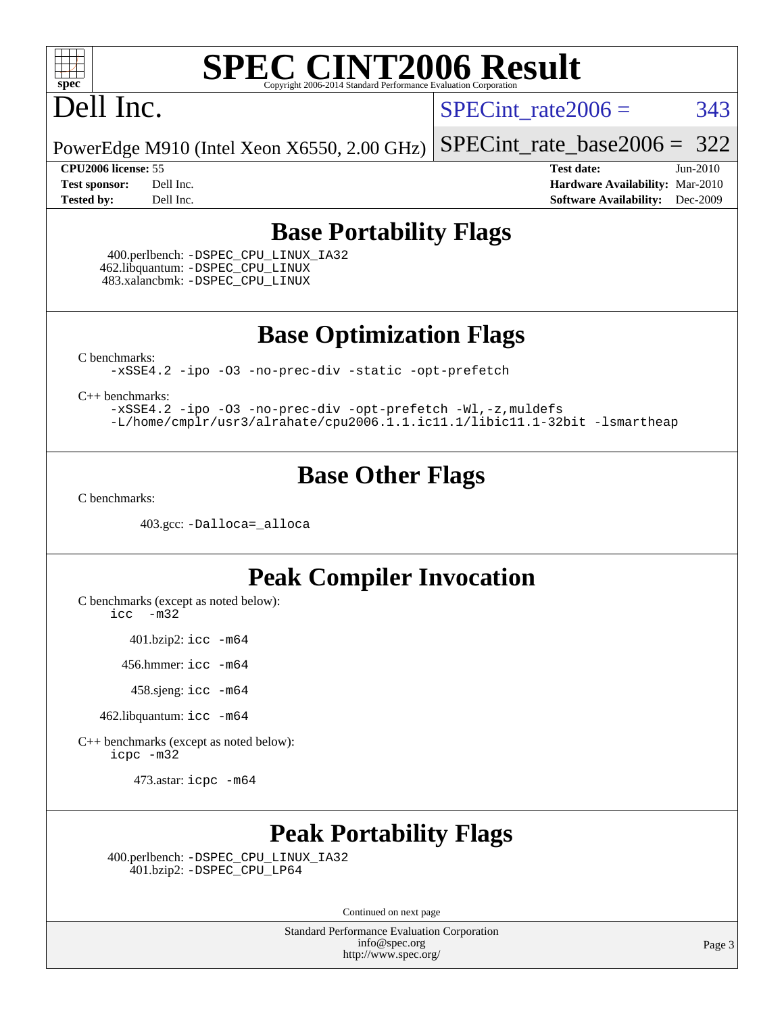

## Dell Inc.

SPECint rate $2006 = 343$ 

PowerEdge M910 (Intel Xeon X6550, 2.00 GHz)

**[Tested by:](http://www.spec.org/auto/cpu2006/Docs/result-fields.html#Testedby)** Dell Inc. **[Software Availability:](http://www.spec.org/auto/cpu2006/Docs/result-fields.html#SoftwareAvailability)** Dec-2009

[SPECint\\_rate\\_base2006 =](http://www.spec.org/auto/cpu2006/Docs/result-fields.html#SPECintratebase2006) 322 **[CPU2006 license:](http://www.spec.org/auto/cpu2006/Docs/result-fields.html#CPU2006license)** 55 **[Test date:](http://www.spec.org/auto/cpu2006/Docs/result-fields.html#Testdate)** Jun-2010 **[Test sponsor:](http://www.spec.org/auto/cpu2006/Docs/result-fields.html#Testsponsor)** Dell Inc. **[Hardware Availability:](http://www.spec.org/auto/cpu2006/Docs/result-fields.html#HardwareAvailability)** Mar-2010

#### **[Base Portability Flags](http://www.spec.org/auto/cpu2006/Docs/result-fields.html#BasePortabilityFlags)**

 400.perlbench: [-DSPEC\\_CPU\\_LINUX\\_IA32](http://www.spec.org/cpu2006/results/res2010q3/cpu2006-20100803-12841.flags.html#b400.perlbench_baseCPORTABILITY_DSPEC_CPU_LINUX_IA32) 462.libquantum: [-DSPEC\\_CPU\\_LINUX](http://www.spec.org/cpu2006/results/res2010q3/cpu2006-20100803-12841.flags.html#b462.libquantum_baseCPORTABILITY_DSPEC_CPU_LINUX) 483.xalancbmk: [-DSPEC\\_CPU\\_LINUX](http://www.spec.org/cpu2006/results/res2010q3/cpu2006-20100803-12841.flags.html#b483.xalancbmk_baseCXXPORTABILITY_DSPEC_CPU_LINUX)

**[Base Optimization Flags](http://www.spec.org/auto/cpu2006/Docs/result-fields.html#BaseOptimizationFlags)**

[C benchmarks](http://www.spec.org/auto/cpu2006/Docs/result-fields.html#Cbenchmarks):

[-xSSE4.2](http://www.spec.org/cpu2006/results/res2010q3/cpu2006-20100803-12841.flags.html#user_CCbase_f-xSSE42_f91528193cf0b216347adb8b939d4107) [-ipo](http://www.spec.org/cpu2006/results/res2010q3/cpu2006-20100803-12841.flags.html#user_CCbase_f-ipo) [-O3](http://www.spec.org/cpu2006/results/res2010q3/cpu2006-20100803-12841.flags.html#user_CCbase_f-O3) [-no-prec-div](http://www.spec.org/cpu2006/results/res2010q3/cpu2006-20100803-12841.flags.html#user_CCbase_f-no-prec-div) [-static](http://www.spec.org/cpu2006/results/res2010q3/cpu2006-20100803-12841.flags.html#user_CCbase_f-static) [-opt-prefetch](http://www.spec.org/cpu2006/results/res2010q3/cpu2006-20100803-12841.flags.html#user_CCbase_f-opt-prefetch)

[C++ benchmarks:](http://www.spec.org/auto/cpu2006/Docs/result-fields.html#CXXbenchmarks)

[-xSSE4.2](http://www.spec.org/cpu2006/results/res2010q3/cpu2006-20100803-12841.flags.html#user_CXXbase_f-xSSE42_f91528193cf0b216347adb8b939d4107) [-ipo](http://www.spec.org/cpu2006/results/res2010q3/cpu2006-20100803-12841.flags.html#user_CXXbase_f-ipo) [-O3](http://www.spec.org/cpu2006/results/res2010q3/cpu2006-20100803-12841.flags.html#user_CXXbase_f-O3) [-no-prec-div](http://www.spec.org/cpu2006/results/res2010q3/cpu2006-20100803-12841.flags.html#user_CXXbase_f-no-prec-div) [-opt-prefetch](http://www.spec.org/cpu2006/results/res2010q3/cpu2006-20100803-12841.flags.html#user_CXXbase_f-opt-prefetch) [-Wl,-z,muldefs](http://www.spec.org/cpu2006/results/res2010q3/cpu2006-20100803-12841.flags.html#user_CXXbase_link_force_multiple1_74079c344b956b9658436fd1b6dd3a8a) [-L/home/cmplr/usr3/alrahate/cpu2006.1.1.ic11.1/libic11.1-32bit -lsmartheap](http://www.spec.org/cpu2006/results/res2010q3/cpu2006-20100803-12841.flags.html#user_CXXbase_SmartHeap_d86dffe4a79b79ef8890d5cce17030c3)

#### **[Base Other Flags](http://www.spec.org/auto/cpu2006/Docs/result-fields.html#BaseOtherFlags)**

[C benchmarks](http://www.spec.org/auto/cpu2006/Docs/result-fields.html#Cbenchmarks):

403.gcc: [-Dalloca=\\_alloca](http://www.spec.org/cpu2006/results/res2010q3/cpu2006-20100803-12841.flags.html#b403.gcc_baseEXTRA_CFLAGS_Dalloca_be3056838c12de2578596ca5467af7f3)

#### **[Peak Compiler Invocation](http://www.spec.org/auto/cpu2006/Docs/result-fields.html#PeakCompilerInvocation)**

[C benchmarks \(except as noted below\)](http://www.spec.org/auto/cpu2006/Docs/result-fields.html#Cbenchmarksexceptasnotedbelow):

[icc -m32](http://www.spec.org/cpu2006/results/res2010q3/cpu2006-20100803-12841.flags.html#user_CCpeak_intel_icc_32bit_5ff4a39e364c98233615fdd38438c6f2)

401.bzip2: [icc -m64](http://www.spec.org/cpu2006/results/res2010q3/cpu2006-20100803-12841.flags.html#user_peakCCLD401_bzip2_intel_icc_64bit_bda6cc9af1fdbb0edc3795bac97ada53)

456.hmmer: [icc -m64](http://www.spec.org/cpu2006/results/res2010q3/cpu2006-20100803-12841.flags.html#user_peakCCLD456_hmmer_intel_icc_64bit_bda6cc9af1fdbb0edc3795bac97ada53)

458.sjeng: [icc -m64](http://www.spec.org/cpu2006/results/res2010q3/cpu2006-20100803-12841.flags.html#user_peakCCLD458_sjeng_intel_icc_64bit_bda6cc9af1fdbb0edc3795bac97ada53)

462.libquantum: [icc -m64](http://www.spec.org/cpu2006/results/res2010q3/cpu2006-20100803-12841.flags.html#user_peakCCLD462_libquantum_intel_icc_64bit_bda6cc9af1fdbb0edc3795bac97ada53)

[C++ benchmarks \(except as noted below\):](http://www.spec.org/auto/cpu2006/Docs/result-fields.html#CXXbenchmarksexceptasnotedbelow) [icpc -m32](http://www.spec.org/cpu2006/results/res2010q3/cpu2006-20100803-12841.flags.html#user_CXXpeak_intel_icpc_32bit_4e5a5ef1a53fd332b3c49e69c3330699)

473.astar: [icpc -m64](http://www.spec.org/cpu2006/results/res2010q3/cpu2006-20100803-12841.flags.html#user_peakCXXLD473_astar_intel_icpc_64bit_fc66a5337ce925472a5c54ad6a0de310)

### **[Peak Portability Flags](http://www.spec.org/auto/cpu2006/Docs/result-fields.html#PeakPortabilityFlags)**

 400.perlbench: [-DSPEC\\_CPU\\_LINUX\\_IA32](http://www.spec.org/cpu2006/results/res2010q3/cpu2006-20100803-12841.flags.html#b400.perlbench_peakCPORTABILITY_DSPEC_CPU_LINUX_IA32) 401.bzip2: [-DSPEC\\_CPU\\_LP64](http://www.spec.org/cpu2006/results/res2010q3/cpu2006-20100803-12841.flags.html#suite_peakCPORTABILITY401_bzip2_DSPEC_CPU_LP64)

Continued on next page

Standard Performance Evaluation Corporation [info@spec.org](mailto:info@spec.org) <http://www.spec.org/>

Page 3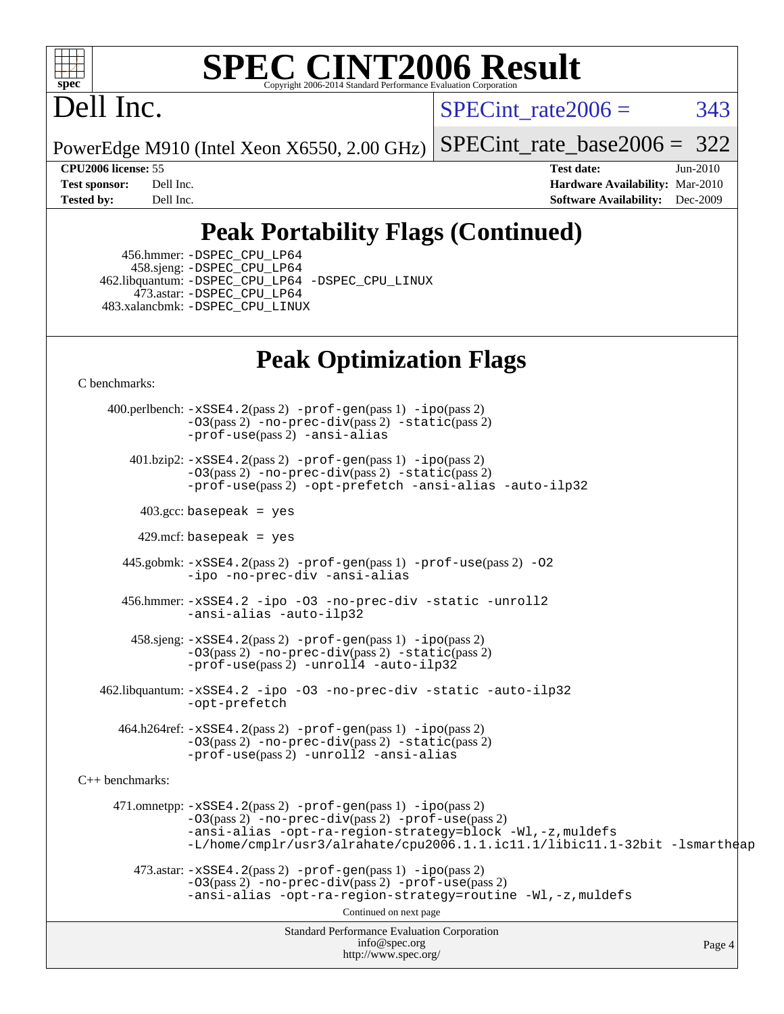

# Dell Inc.

SPECint rate $2006 = 343$ 

PowerEdge M910 (Intel Xeon X6550, 2.00 GHz)

[SPECint\\_rate\\_base2006 =](http://www.spec.org/auto/cpu2006/Docs/result-fields.html#SPECintratebase2006) 322

**[CPU2006 license:](http://www.spec.org/auto/cpu2006/Docs/result-fields.html#CPU2006license)** 55 **[Test date:](http://www.spec.org/auto/cpu2006/Docs/result-fields.html#Testdate)** Jun-2010 **[Test sponsor:](http://www.spec.org/auto/cpu2006/Docs/result-fields.html#Testsponsor)** Dell Inc. **[Hardware Availability:](http://www.spec.org/auto/cpu2006/Docs/result-fields.html#HardwareAvailability)** Mar-2010 **[Tested by:](http://www.spec.org/auto/cpu2006/Docs/result-fields.html#Testedby)** Dell Inc. **[Software Availability:](http://www.spec.org/auto/cpu2006/Docs/result-fields.html#SoftwareAvailability)** Dec-2009

## **[Peak Portability Flags \(Continued\)](http://www.spec.org/auto/cpu2006/Docs/result-fields.html#PeakPortabilityFlags)**

 456.hmmer: [-DSPEC\\_CPU\\_LP64](http://www.spec.org/cpu2006/results/res2010q3/cpu2006-20100803-12841.flags.html#suite_peakCPORTABILITY456_hmmer_DSPEC_CPU_LP64) 458.sjeng: [-DSPEC\\_CPU\\_LP64](http://www.spec.org/cpu2006/results/res2010q3/cpu2006-20100803-12841.flags.html#suite_peakCPORTABILITY458_sjeng_DSPEC_CPU_LP64) 462.libquantum: [-DSPEC\\_CPU\\_LP64](http://www.spec.org/cpu2006/results/res2010q3/cpu2006-20100803-12841.flags.html#suite_peakCPORTABILITY462_libquantum_DSPEC_CPU_LP64) [-DSPEC\\_CPU\\_LINUX](http://www.spec.org/cpu2006/results/res2010q3/cpu2006-20100803-12841.flags.html#b462.libquantum_peakCPORTABILITY_DSPEC_CPU_LINUX) 473.astar: [-DSPEC\\_CPU\\_LP64](http://www.spec.org/cpu2006/results/res2010q3/cpu2006-20100803-12841.flags.html#suite_peakCXXPORTABILITY473_astar_DSPEC_CPU_LP64) 483.xalancbmk: [-DSPEC\\_CPU\\_LINUX](http://www.spec.org/cpu2006/results/res2010q3/cpu2006-20100803-12841.flags.html#b483.xalancbmk_peakCXXPORTABILITY_DSPEC_CPU_LINUX)

## **[Peak Optimization Flags](http://www.spec.org/auto/cpu2006/Docs/result-fields.html#PeakOptimizationFlags)**

[C benchmarks](http://www.spec.org/auto/cpu2006/Docs/result-fields.html#Cbenchmarks):

Standard Performance Evaluation Corporation [info@spec.org](mailto:info@spec.org) <http://www.spec.org/> Page 4 400.perlbench: [-xSSE4.2](http://www.spec.org/cpu2006/results/res2010q3/cpu2006-20100803-12841.flags.html#user_peakPASS2_CFLAGSPASS2_LDCFLAGS400_perlbench_f-xSSE42_f91528193cf0b216347adb8b939d4107)(pass 2) [-prof-gen](http://www.spec.org/cpu2006/results/res2010q3/cpu2006-20100803-12841.flags.html#user_peakPASS1_CFLAGSPASS1_LDCFLAGS400_perlbench_prof_gen_e43856698f6ca7b7e442dfd80e94a8fc)(pass 1) [-ipo](http://www.spec.org/cpu2006/results/res2010q3/cpu2006-20100803-12841.flags.html#user_peakPASS2_CFLAGSPASS2_LDCFLAGS400_perlbench_f-ipo)(pass 2) [-O3](http://www.spec.org/cpu2006/results/res2010q3/cpu2006-20100803-12841.flags.html#user_peakPASS2_CFLAGSPASS2_LDCFLAGS400_perlbench_f-O3)(pass 2) [-no-prec-div](http://www.spec.org/cpu2006/results/res2010q3/cpu2006-20100803-12841.flags.html#user_peakPASS2_CFLAGSPASS2_LDCFLAGS400_perlbench_f-no-prec-div)(pass 2) [-static](http://www.spec.org/cpu2006/results/res2010q3/cpu2006-20100803-12841.flags.html#user_peakPASS2_CFLAGSPASS2_LDCFLAGS400_perlbench_f-static)(pass 2) [-prof-use](http://www.spec.org/cpu2006/results/res2010q3/cpu2006-20100803-12841.flags.html#user_peakPASS2_CFLAGSPASS2_LDCFLAGS400_perlbench_prof_use_bccf7792157ff70d64e32fe3e1250b55)(pass 2) [-ansi-alias](http://www.spec.org/cpu2006/results/res2010q3/cpu2006-20100803-12841.flags.html#user_peakCOPTIMIZE400_perlbench_f-ansi-alias) 401.bzip2: [-xSSE4.2](http://www.spec.org/cpu2006/results/res2010q3/cpu2006-20100803-12841.flags.html#user_peakPASS2_CFLAGSPASS2_LDCFLAGS401_bzip2_f-xSSE42_f91528193cf0b216347adb8b939d4107)(pass 2) [-prof-gen](http://www.spec.org/cpu2006/results/res2010q3/cpu2006-20100803-12841.flags.html#user_peakPASS1_CFLAGSPASS1_LDCFLAGS401_bzip2_prof_gen_e43856698f6ca7b7e442dfd80e94a8fc)(pass 1) [-ipo](http://www.spec.org/cpu2006/results/res2010q3/cpu2006-20100803-12841.flags.html#user_peakPASS2_CFLAGSPASS2_LDCFLAGS401_bzip2_f-ipo)(pass 2) [-O3](http://www.spec.org/cpu2006/results/res2010q3/cpu2006-20100803-12841.flags.html#user_peakPASS2_CFLAGSPASS2_LDCFLAGS401_bzip2_f-O3)(pass 2) [-no-prec-div](http://www.spec.org/cpu2006/results/res2010q3/cpu2006-20100803-12841.flags.html#user_peakPASS2_CFLAGSPASS2_LDCFLAGS401_bzip2_f-no-prec-div)(pass 2) [-static](http://www.spec.org/cpu2006/results/res2010q3/cpu2006-20100803-12841.flags.html#user_peakPASS2_CFLAGSPASS2_LDCFLAGS401_bzip2_f-static)(pass 2) [-prof-use](http://www.spec.org/cpu2006/results/res2010q3/cpu2006-20100803-12841.flags.html#user_peakPASS2_CFLAGSPASS2_LDCFLAGS401_bzip2_prof_use_bccf7792157ff70d64e32fe3e1250b55)(pass 2) [-opt-prefetch](http://www.spec.org/cpu2006/results/res2010q3/cpu2006-20100803-12841.flags.html#user_peakCOPTIMIZE401_bzip2_f-opt-prefetch) [-ansi-alias](http://www.spec.org/cpu2006/results/res2010q3/cpu2006-20100803-12841.flags.html#user_peakCOPTIMIZE401_bzip2_f-ansi-alias) [-auto-ilp32](http://www.spec.org/cpu2006/results/res2010q3/cpu2006-20100803-12841.flags.html#user_peakCOPTIMIZE401_bzip2_f-auto-ilp32)  $403.\text{gcc: basepeak}$  = yes  $429$ .mcf: basepeak = yes 445.gobmk: [-xSSE4.2](http://www.spec.org/cpu2006/results/res2010q3/cpu2006-20100803-12841.flags.html#user_peakPASS2_CFLAGSPASS2_LDCFLAGS445_gobmk_f-xSSE42_f91528193cf0b216347adb8b939d4107)(pass 2) [-prof-gen](http://www.spec.org/cpu2006/results/res2010q3/cpu2006-20100803-12841.flags.html#user_peakPASS1_CFLAGSPASS1_LDCFLAGS445_gobmk_prof_gen_e43856698f6ca7b7e442dfd80e94a8fc)(pass 1) [-prof-use](http://www.spec.org/cpu2006/results/res2010q3/cpu2006-20100803-12841.flags.html#user_peakPASS2_CFLAGSPASS2_LDCFLAGS445_gobmk_prof_use_bccf7792157ff70d64e32fe3e1250b55)(pass 2) [-O2](http://www.spec.org/cpu2006/results/res2010q3/cpu2006-20100803-12841.flags.html#user_peakCOPTIMIZE445_gobmk_f-O2) [-ipo](http://www.spec.org/cpu2006/results/res2010q3/cpu2006-20100803-12841.flags.html#user_peakCOPTIMIZE445_gobmk_f-ipo) [-no-prec-div](http://www.spec.org/cpu2006/results/res2010q3/cpu2006-20100803-12841.flags.html#user_peakCOPTIMIZE445_gobmk_f-no-prec-div) [-ansi-alias](http://www.spec.org/cpu2006/results/res2010q3/cpu2006-20100803-12841.flags.html#user_peakCOPTIMIZE445_gobmk_f-ansi-alias) 456.hmmer: [-xSSE4.2](http://www.spec.org/cpu2006/results/res2010q3/cpu2006-20100803-12841.flags.html#user_peakCOPTIMIZE456_hmmer_f-xSSE42_f91528193cf0b216347adb8b939d4107) [-ipo](http://www.spec.org/cpu2006/results/res2010q3/cpu2006-20100803-12841.flags.html#user_peakCOPTIMIZE456_hmmer_f-ipo) [-O3](http://www.spec.org/cpu2006/results/res2010q3/cpu2006-20100803-12841.flags.html#user_peakCOPTIMIZE456_hmmer_f-O3) [-no-prec-div](http://www.spec.org/cpu2006/results/res2010q3/cpu2006-20100803-12841.flags.html#user_peakCOPTIMIZE456_hmmer_f-no-prec-div) [-static](http://www.spec.org/cpu2006/results/res2010q3/cpu2006-20100803-12841.flags.html#user_peakCOPTIMIZE456_hmmer_f-static) [-unroll2](http://www.spec.org/cpu2006/results/res2010q3/cpu2006-20100803-12841.flags.html#user_peakCOPTIMIZE456_hmmer_f-unroll_784dae83bebfb236979b41d2422d7ec2) [-ansi-alias](http://www.spec.org/cpu2006/results/res2010q3/cpu2006-20100803-12841.flags.html#user_peakCOPTIMIZE456_hmmer_f-ansi-alias) [-auto-ilp32](http://www.spec.org/cpu2006/results/res2010q3/cpu2006-20100803-12841.flags.html#user_peakCOPTIMIZE456_hmmer_f-auto-ilp32) 458.sjeng: [-xSSE4.2](http://www.spec.org/cpu2006/results/res2010q3/cpu2006-20100803-12841.flags.html#user_peakPASS2_CFLAGSPASS2_LDCFLAGS458_sjeng_f-xSSE42_f91528193cf0b216347adb8b939d4107)(pass 2) [-prof-gen](http://www.spec.org/cpu2006/results/res2010q3/cpu2006-20100803-12841.flags.html#user_peakPASS1_CFLAGSPASS1_LDCFLAGS458_sjeng_prof_gen_e43856698f6ca7b7e442dfd80e94a8fc)(pass 1) [-ipo](http://www.spec.org/cpu2006/results/res2010q3/cpu2006-20100803-12841.flags.html#user_peakPASS2_CFLAGSPASS2_LDCFLAGS458_sjeng_f-ipo)(pass 2) [-O3](http://www.spec.org/cpu2006/results/res2010q3/cpu2006-20100803-12841.flags.html#user_peakPASS2_CFLAGSPASS2_LDCFLAGS458_sjeng_f-O3)(pass 2) [-no-prec-div](http://www.spec.org/cpu2006/results/res2010q3/cpu2006-20100803-12841.flags.html#user_peakPASS2_CFLAGSPASS2_LDCFLAGS458_sjeng_f-no-prec-div)(pass 2) [-static](http://www.spec.org/cpu2006/results/res2010q3/cpu2006-20100803-12841.flags.html#user_peakPASS2_CFLAGSPASS2_LDCFLAGS458_sjeng_f-static)(pass 2) [-prof-use](http://www.spec.org/cpu2006/results/res2010q3/cpu2006-20100803-12841.flags.html#user_peakPASS2_CFLAGSPASS2_LDCFLAGS458_sjeng_prof_use_bccf7792157ff70d64e32fe3e1250b55)(pass 2) [-unroll4](http://www.spec.org/cpu2006/results/res2010q3/cpu2006-20100803-12841.flags.html#user_peakCOPTIMIZE458_sjeng_f-unroll_4e5e4ed65b7fd20bdcd365bec371b81f) [-auto-ilp32](http://www.spec.org/cpu2006/results/res2010q3/cpu2006-20100803-12841.flags.html#user_peakCOPTIMIZE458_sjeng_f-auto-ilp32) 462.libquantum: [-xSSE4.2](http://www.spec.org/cpu2006/results/res2010q3/cpu2006-20100803-12841.flags.html#user_peakCOPTIMIZE462_libquantum_f-xSSE42_f91528193cf0b216347adb8b939d4107) [-ipo](http://www.spec.org/cpu2006/results/res2010q3/cpu2006-20100803-12841.flags.html#user_peakCOPTIMIZE462_libquantum_f-ipo) [-O3](http://www.spec.org/cpu2006/results/res2010q3/cpu2006-20100803-12841.flags.html#user_peakCOPTIMIZE462_libquantum_f-O3) [-no-prec-div](http://www.spec.org/cpu2006/results/res2010q3/cpu2006-20100803-12841.flags.html#user_peakCOPTIMIZE462_libquantum_f-no-prec-div) [-static](http://www.spec.org/cpu2006/results/res2010q3/cpu2006-20100803-12841.flags.html#user_peakCOPTIMIZE462_libquantum_f-static) [-auto-ilp32](http://www.spec.org/cpu2006/results/res2010q3/cpu2006-20100803-12841.flags.html#user_peakCOPTIMIZE462_libquantum_f-auto-ilp32) [-opt-prefetch](http://www.spec.org/cpu2006/results/res2010q3/cpu2006-20100803-12841.flags.html#user_peakCOPTIMIZE462_libquantum_f-opt-prefetch) 464.h264ref: [-xSSE4.2](http://www.spec.org/cpu2006/results/res2010q3/cpu2006-20100803-12841.flags.html#user_peakPASS2_CFLAGSPASS2_LDCFLAGS464_h264ref_f-xSSE42_f91528193cf0b216347adb8b939d4107)(pass 2) [-prof-gen](http://www.spec.org/cpu2006/results/res2010q3/cpu2006-20100803-12841.flags.html#user_peakPASS1_CFLAGSPASS1_LDCFLAGS464_h264ref_prof_gen_e43856698f6ca7b7e442dfd80e94a8fc)(pass 1) [-ipo](http://www.spec.org/cpu2006/results/res2010q3/cpu2006-20100803-12841.flags.html#user_peakPASS2_CFLAGSPASS2_LDCFLAGS464_h264ref_f-ipo)(pass 2) [-O3](http://www.spec.org/cpu2006/results/res2010q3/cpu2006-20100803-12841.flags.html#user_peakPASS2_CFLAGSPASS2_LDCFLAGS464_h264ref_f-O3)(pass 2) [-no-prec-div](http://www.spec.org/cpu2006/results/res2010q3/cpu2006-20100803-12841.flags.html#user_peakPASS2_CFLAGSPASS2_LDCFLAGS464_h264ref_f-no-prec-div)(pass 2) [-static](http://www.spec.org/cpu2006/results/res2010q3/cpu2006-20100803-12841.flags.html#user_peakPASS2_CFLAGSPASS2_LDCFLAGS464_h264ref_f-static)(pass 2) [-prof-use](http://www.spec.org/cpu2006/results/res2010q3/cpu2006-20100803-12841.flags.html#user_peakPASS2_CFLAGSPASS2_LDCFLAGS464_h264ref_prof_use_bccf7792157ff70d64e32fe3e1250b55)(pass 2) [-unroll2](http://www.spec.org/cpu2006/results/res2010q3/cpu2006-20100803-12841.flags.html#user_peakCOPTIMIZE464_h264ref_f-unroll_784dae83bebfb236979b41d2422d7ec2) [-ansi-alias](http://www.spec.org/cpu2006/results/res2010q3/cpu2006-20100803-12841.flags.html#user_peakCOPTIMIZE464_h264ref_f-ansi-alias) [C++ benchmarks:](http://www.spec.org/auto/cpu2006/Docs/result-fields.html#CXXbenchmarks) 471.omnetpp: [-xSSE4.2](http://www.spec.org/cpu2006/results/res2010q3/cpu2006-20100803-12841.flags.html#user_peakPASS2_CXXFLAGSPASS2_LDCXXFLAGS471_omnetpp_f-xSSE42_f91528193cf0b216347adb8b939d4107)(pass 2) [-prof-gen](http://www.spec.org/cpu2006/results/res2010q3/cpu2006-20100803-12841.flags.html#user_peakPASS1_CXXFLAGSPASS1_LDCXXFLAGS471_omnetpp_prof_gen_e43856698f6ca7b7e442dfd80e94a8fc)(pass 1) [-ipo](http://www.spec.org/cpu2006/results/res2010q3/cpu2006-20100803-12841.flags.html#user_peakPASS2_CXXFLAGSPASS2_LDCXXFLAGS471_omnetpp_f-ipo)(pass 2) [-O3](http://www.spec.org/cpu2006/results/res2010q3/cpu2006-20100803-12841.flags.html#user_peakPASS2_CXXFLAGSPASS2_LDCXXFLAGS471_omnetpp_f-O3)(pass 2) [-no-prec-div](http://www.spec.org/cpu2006/results/res2010q3/cpu2006-20100803-12841.flags.html#user_peakPASS2_CXXFLAGSPASS2_LDCXXFLAGS471_omnetpp_f-no-prec-div)(pass 2) [-prof-use](http://www.spec.org/cpu2006/results/res2010q3/cpu2006-20100803-12841.flags.html#user_peakPASS2_CXXFLAGSPASS2_LDCXXFLAGS471_omnetpp_prof_use_bccf7792157ff70d64e32fe3e1250b55)(pass 2) [-ansi-alias](http://www.spec.org/cpu2006/results/res2010q3/cpu2006-20100803-12841.flags.html#user_peakCXXOPTIMIZE471_omnetpp_f-ansi-alias) [-opt-ra-region-strategy=block](http://www.spec.org/cpu2006/results/res2010q3/cpu2006-20100803-12841.flags.html#user_peakCXXOPTIMIZE471_omnetpp_f-opt-ra-region-strategy-block_a0a37c372d03933b2a18d4af463c1f69) [-Wl,-z,muldefs](http://www.spec.org/cpu2006/results/res2010q3/cpu2006-20100803-12841.flags.html#user_peakEXTRA_LDFLAGS471_omnetpp_link_force_multiple1_74079c344b956b9658436fd1b6dd3a8a) [-L/home/cmplr/usr3/alrahate/cpu2006.1.1.ic11.1/libic11.1-32bit -lsmartheap](http://www.spec.org/cpu2006/results/res2010q3/cpu2006-20100803-12841.flags.html#user_peakEXTRA_LIBS471_omnetpp_SmartHeap_d86dffe4a79b79ef8890d5cce17030c3)  $473.\text{astar: } -xSSE4$ .  $2(\text{pass 2})$   $-\text{prof-gen}(\text{pass 1})$   $-i\text{po}(\text{pass 2})$ [-O3](http://www.spec.org/cpu2006/results/res2010q3/cpu2006-20100803-12841.flags.html#user_peakPASS2_CXXFLAGSPASS2_LDCXXFLAGS473_astar_f-O3)(pass 2) [-no-prec-div](http://www.spec.org/cpu2006/results/res2010q3/cpu2006-20100803-12841.flags.html#user_peakPASS2_CXXFLAGSPASS2_LDCXXFLAGS473_astar_f-no-prec-div)(pass 2) [-prof-use](http://www.spec.org/cpu2006/results/res2010q3/cpu2006-20100803-12841.flags.html#user_peakPASS2_CXXFLAGSPASS2_LDCXXFLAGS473_astar_prof_use_bccf7792157ff70d64e32fe3e1250b55)(pass 2) [-ansi-alias](http://www.spec.org/cpu2006/results/res2010q3/cpu2006-20100803-12841.flags.html#user_peakCXXOPTIMIZE473_astar_f-ansi-alias) [-opt-ra-region-strategy=routine](http://www.spec.org/cpu2006/results/res2010q3/cpu2006-20100803-12841.flags.html#user_peakCXXOPTIMIZE473_astar_f-opt-ra-region-strategy-routine_ba086ea3b1d46a52e1238e2ca173ed44) [-Wl,-z,muldefs](http://www.spec.org/cpu2006/results/res2010q3/cpu2006-20100803-12841.flags.html#user_peakEXTRA_LDFLAGS473_astar_link_force_multiple1_74079c344b956b9658436fd1b6dd3a8a) Continued on next page